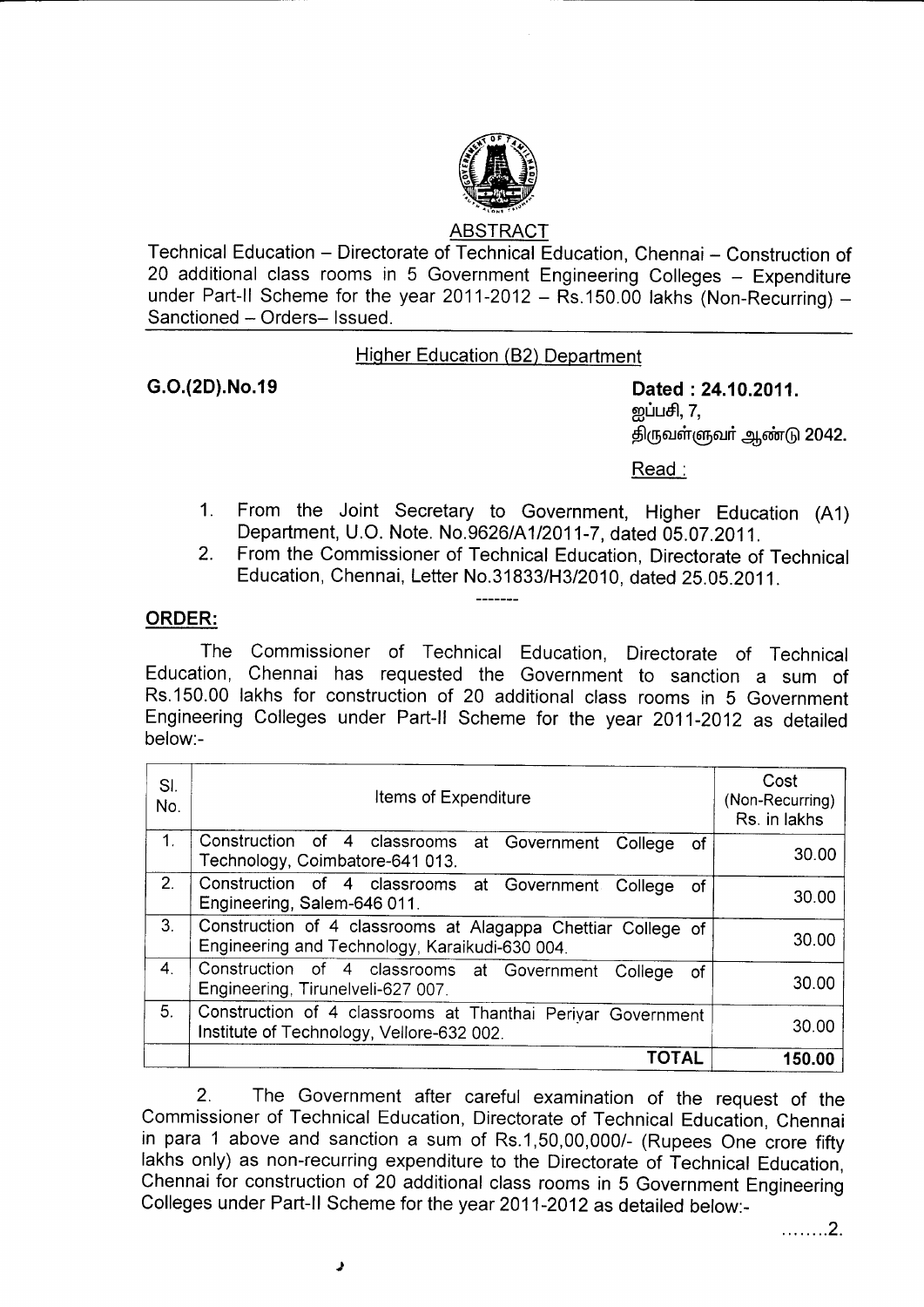

## ABSTRACT

Technical Education - Directorate of Technical Education, Chennai - Construction of 20 additional class rooms in 5 Government Engineering Colleges - Expenditure under Part-II Scheme for the year 2011-2012 -  $R_s$ .150.00 lakhs (Non-Recurring) -Sanctioned - Orders- Issued.

## Hiqher Education (82) Department

G.O.(2D).No.19 Dated :24.10.2011. றுப்பசி,  $7,$ திருவள்ளுவா் ஆண்டு 2042.

Read :

- 1. From the Joint secretary to Government, Higher Education (A1) Department, U.O. Note. No.9626/A112011-7, dated 05.07.2011.
- 2. From the Commissioner of Technical Education, Directorate of Technical Education, Chennai, Letter No.31833/H3/2010, dated 25.05.2011.

## ORDER:

The Commissioner of Technical Education, Directorate of Technical Education, Chennai has requested the Government to sanction a sum of Rs.150.00 lakhs for construction of 20 additional class rooms in 5 Government Engineering Colleges under Part-ll Scheme for the year 2011-2012 as detailed below:-

| SI.<br>No.     | Items of Expenditure                                                                                           | Cost<br>(Non-Recurring)<br>Rs. in lakhs |
|----------------|----------------------------------------------------------------------------------------------------------------|-----------------------------------------|
| 1.             | Construction of 4 classrooms<br>at Government<br>College<br>0f<br>Technology, Coimbatore-641 013.              | 30.00                                   |
| 2.             | Construction of 4 classrooms at Government College<br>οf<br>Engineering, Salem-646 011.                        | 30.00                                   |
| 3 <sub>1</sub> | Construction of 4 classrooms at Alagappa Chettiar College of<br>Engineering and Technology, Karaikudi-630 004. | 30.00                                   |
| 4.             | Construction of 4 classrooms at Government<br>College<br>οf<br>Engineering, Tirunelveli-627 007.               | 30.00                                   |
| 5.             | Construction of 4 classrooms at Thanthai Perivar Government<br>Institute of Technology, Vellore-632 002.       | 30.00                                   |
|                | <b>TOTAL</b>                                                                                                   | 150.00                                  |

2. The Government after careful examination of the request of the Commissioner of Technical Education, Directorate of Technical Education, Chennai in para 1 above and sanction a sum of Rs.1,50,00,000/- (Rupees One crore fifty lakhs only) as non-recurring expenditure to the Directorate of Technical Education, Chennai for construction of20 additional class rooms in 5 Government Engineering Colleges under Part-ll Scheme for the year 2011-2012 as detailed below:-

. . . . . . . . 2 .